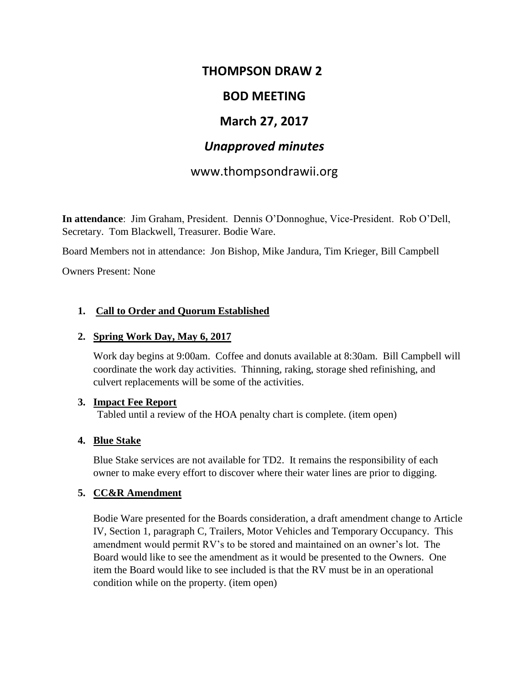# **THOMPSON DRAW 2**

# **BOD MEETING**

# **March 27, 2017**

# *Unapproved minutes*

# www.thompsondrawii.org

**In attendance**: Jim Graham, President. Dennis O'Donnoghue, Vice-President. Rob O'Dell, Secretary. Tom Blackwell, Treasurer. Bodie Ware.

Board Members not in attendance: Jon Bishop, Mike Jandura, Tim Krieger, Bill Campbell

Owners Present: None

#### **1. Call to Order and Quorum Established**

#### **2. Spring Work Day, May 6, 2017**

Work day begins at 9:00am. Coffee and donuts available at 8:30am. Bill Campbell will coordinate the work day activities. Thinning, raking, storage shed refinishing, and culvert replacements will be some of the activities.

#### **3. Impact Fee Report**

Tabled until a review of the HOA penalty chart is complete. (item open)

#### **4. Blue Stake**

Blue Stake services are not available for TD2. It remains the responsibility of each owner to make every effort to discover where their water lines are prior to digging.

#### **5. CC&R Amendment**

Bodie Ware presented for the Boards consideration, a draft amendment change to Article IV, Section 1, paragraph C, Trailers, Motor Vehicles and Temporary Occupancy. This amendment would permit RV's to be stored and maintained on an owner's lot. The Board would like to see the amendment as it would be presented to the Owners. One item the Board would like to see included is that the RV must be in an operational condition while on the property. (item open)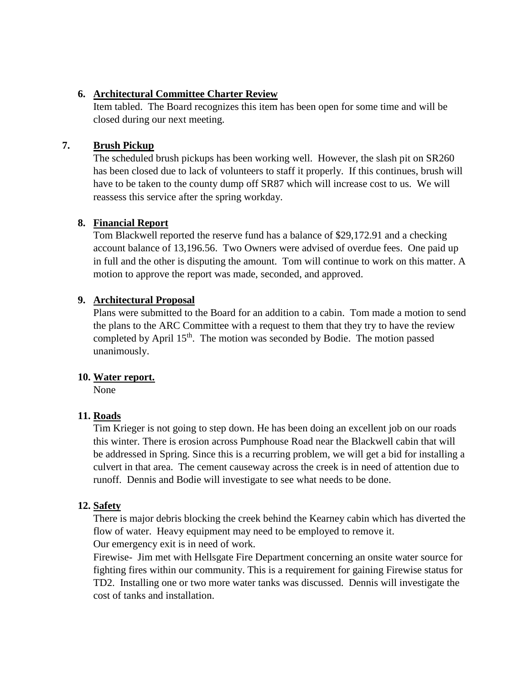### **6. Architectural Committee Charter Review**

Item tabled. The Board recognizes this item has been open for some time and will be closed during our next meeting.

### **7. Brush Pickup**

The scheduled brush pickups has been working well. However, the slash pit on SR260 has been closed due to lack of volunteers to staff it properly. If this continues, brush will have to be taken to the county dump off SR87 which will increase cost to us. We will reassess this service after the spring workday.

### **8. Financial Report**

Tom Blackwell reported the reserve fund has a balance of \$29,172.91 and a checking account balance of 13,196.56. Two Owners were advised of overdue fees. One paid up in full and the other is disputing the amount. Tom will continue to work on this matter. A motion to approve the report was made, seconded, and approved.

### **9. Architectural Proposal**

Plans were submitted to the Board for an addition to a cabin. Tom made a motion to send the plans to the ARC Committee with a request to them that they try to have the review completed by April 15<sup>th</sup>. The motion was seconded by Bodie. The motion passed unanimously.

#### **10. Water report.**

None

## **11. Roads**

Tim Krieger is not going to step down. He has been doing an excellent job on our roads this winter. There is erosion across Pumphouse Road near the Blackwell cabin that will be addressed in Spring. Since this is a recurring problem, we will get a bid for installing a culvert in that area. The cement causeway across the creek is in need of attention due to runoff. Dennis and Bodie will investigate to see what needs to be done.

## **12. Safety**

There is major debris blocking the creek behind the Kearney cabin which has diverted the flow of water. Heavy equipment may need to be employed to remove it.

Our emergency exit is in need of work.

Firewise- Jim met with Hellsgate Fire Department concerning an onsite water source for fighting fires within our community. This is a requirement for gaining Firewise status for TD2. Installing one or two more water tanks was discussed. Dennis will investigate the cost of tanks and installation.